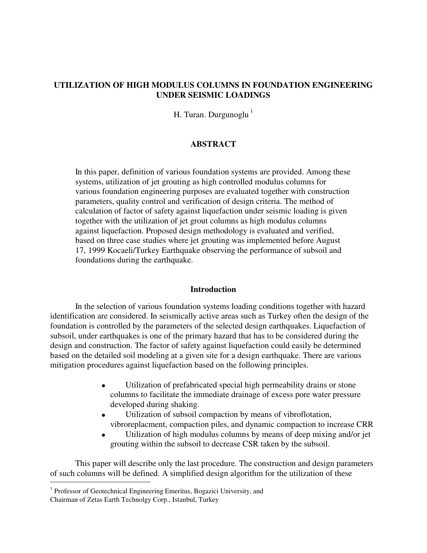## **UTILIZATION OF HIGH MODULUS COLUMNS IN FOUNDATION ENGINEERING UNDER SEISMIC LOADINGS**

H. Turan. Durgunoglu $<sup>1</sup>$ </sup>

### **ABSTRACT**

 In this paper, definition of various foundation systems are provided. Among these systems, utilization of jet grouting as high controlled modulus columns for various foundation engineering purposes are evaluated together with construction parameters, quality control and verification of design criteria. The method of calculation of factor of safety against liquefaction under seismic loading is given together with the utilization of jet grout columns as high modulus columns against liquefaction. Proposed design methodology is evaluated and verified, based on three case studies where jet grouting was implemented before August 17, 1999 Kocaeli/Turkey Earthquake observing the performance of subsoil and foundations during the earthquake.

#### **Introduction**

 In the selection of various foundation systems loading conditions together with hazard identification are considered. In seismically active areas such as Turkey often the design of the foundation is controlled by the parameters of the selected design earthquakes. Liquefaction of subsoil, under earthquakes is one of the primary hazard that has to be considered during the design and construction. The factor of safety against liquefaction could easily be determined based on the detailed soil modeling at a given site for a design earthquake. There are various mitigation procedures against liquefaction based on the following principles.

- Utilization of prefabricated special high permeability drains or stone columns to facilitate the immediate drainage of excess pore water pressure developed during shaking.
- Utilization of subsoil compaction by means of vibroflotation, vibroreplacment, compaction piles, and dynamic compaction to increase CRR
- Utilization of high modulus columns by means of deep mixing and/or jet grouting within the subsoil to decrease CSR taken by the subsoil.

 This paper will describe only the last procedure. The construction and design parameters of such columns will be defined. A simplified design algorithm for the utilization of these —<br>—

<sup>&</sup>lt;sup>1</sup> Professor of Geotechnical Engineering Emeritus, Bogazici University, and

Chairman of Zetas Earth Technolgy Corp., Istanbul, Turkey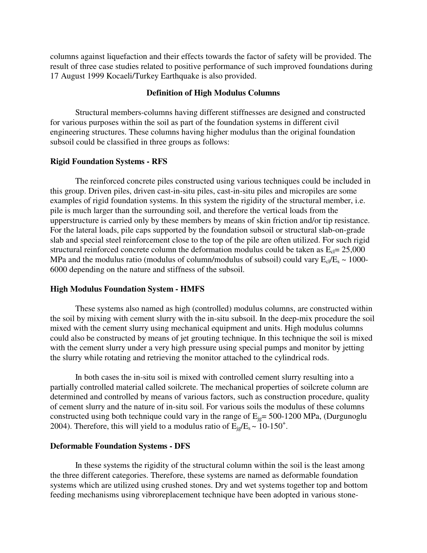columns against liquefaction and their effects towards the factor of safety will be provided. The result of three case studies related to positive performance of such improved foundations during 17 August 1999 Kocaeli/Turkey Earthquake is also provided.

### **Definition of High Modulus Columns**

 Structural members-columns having different stiffnesses are designed and constructed for various purposes within the soil as part of the foundation systems in different civil engineering structures. These columns having higher modulus than the original foundation subsoil could be classified in three groups as follows:

### **Rigid Foundation Systems - RFS**

 The reinforced concrete piles constructed using various techniques could be included in this group. Driven piles, driven cast-in-situ piles, cast-in-situ piles and micropiles are some examples of rigid foundation systems. In this system the rigidity of the structural member, i.e. pile is much larger than the surrounding soil, and therefore the vertical loads from the upperstructure is carried only by these members by means of skin friction and/or tip resistance. For the lateral loads, pile caps supported by the foundation subsoil or structural slab-on-grade slab and special steel reinforcement close to the top of the pile are often utilized. For such rigid structural reinforced concrete column the deformation modulus could be taken as  $E<sub>c</sub> = 25,000$ MPa and the modulus ratio (modulus of column/modulus of subsoil) could vary  $E_{cl}/E_s \sim 1000$ -6000 depending on the nature and stiffness of the subsoil.

### **High Modulus Foundation System - HMFS**

 These systems also named as high (controlled) modulus columns, are constructed within the soil by mixing with cement slurry with the in-situ subsoil. In the deep-mix procedure the soil mixed with the cement slurry using mechanical equipment and units. High modulus columns could also be constructed by means of jet grouting technique. In this technique the soil is mixed with the cement slurry under a very high pressure using special pumps and monitor by jetting the slurry while rotating and retrieving the monitor attached to the cylindrical rods.

 In both cases the in-situ soil is mixed with controlled cement slurry resulting into a partially controlled material called soilcrete. The mechanical properties of soilcrete column are determined and controlled by means of various factors, such as construction procedure, quality of cement slurry and the nature of in-situ soil. For various soils the modulus of these columns constructed using both technique could vary in the range of  $E_{ig}= 500-1200$  MPa, (Durgunoglu 2004). Therefore, this will yield to a modulus ratio of  $E_{jg}/E_s \sim 10{\text -}150^+$ .

#### **Deformable Foundation Systems - DFS**

 In these systems the rigidity of the structural column within the soil is the least among the three different categories. Therefore, these systems are named as deformable foundation systems which are utilized using crushed stones. Dry and wet systems together top and bottom feeding mechanisms using vibroreplacement technique have been adopted in various stone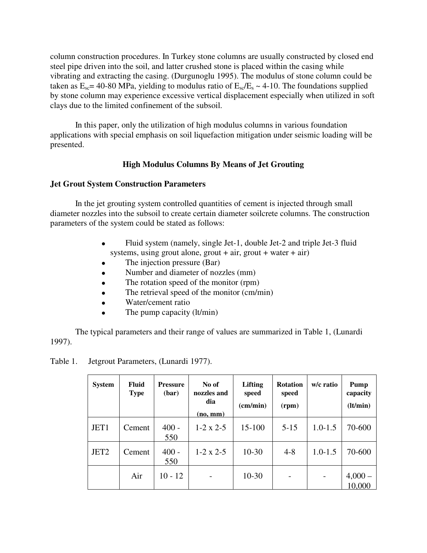column construction procedures. In Turkey stone columns are usually constructed by closed end steel pipe driven into the soil, and latter crushed stone is placed within the casing while vibrating and extracting the casing. (Durgunoglu 1995). The modulus of stone column could be taken as  $E_{sc}$  = 40-80 MPa, yielding to modulus ratio of  $E_{sc}/E_s \sim 4$ -10. The foundations supplied by stone column may experience excessive vertical displacement especially when utilized in soft clays due to the limited confinement of the subsoil.

 In this paper, only the utilization of high modulus columns in various foundation applications with special emphasis on soil liquefaction mitigation under seismic loading will be presented.

## **High Modulus Columns By Means of Jet Grouting**

## **Jet Grout System Construction Parameters**

 In the jet grouting system controlled quantities of cement is injected through small diameter nozzles into the subsoil to create certain diameter soilcrete columns. The construction parameters of the system could be stated as follows:

- Fluid system (namely, single Jet-1, double Jet-2 and triple Jet-3 fluid systems, using grout alone, grout  $+$  air, grout  $+$  water  $+$  air)
- The injection pressure (Bar)
- Number and diameter of nozzles (mm)
- The rotation speed of the monitor (rpm)
- The retrieval speed of the monitor (cm/min)
- Water/cement ratio
- The pump capacity (lt/min)

 The typical parameters and their range of values are summarized in Table 1, (Lunardi 1997).

| Table 1. | Jetgrout Parameters, (Lunardi 1977). |  |
|----------|--------------------------------------|--|
|----------|--------------------------------------|--|

| <b>System</b>    | <b>Fluid</b><br><b>Type</b> | <b>Pressure</b><br>(bar) | No of<br>nozzles and<br>dia<br>(no, mm) | <b>Lifting</b><br>speed<br>(cm/min) | <b>Rotation</b><br>speed<br>(rpm) | w/c ratio   | Pump<br>capacity<br>(lt/min) |
|------------------|-----------------------------|--------------------------|-----------------------------------------|-------------------------------------|-----------------------------------|-------------|------------------------------|
| JET1             | Cement                      | $400 -$<br>550           | $1-2 \times 2-5$                        | $15 - 100$                          | $5 - 15$                          | $1.0 - 1.5$ | 70-600                       |
| JET <sub>2</sub> | Cement                      | $400 -$<br>550           | $1-2 \times 2-5$                        | $10-30$                             | $4 - 8$                           | $1.0 - 1.5$ | 70-600                       |
|                  | Air                         | $10 - 12$                |                                         | $10-30$                             | -                                 |             | $4,000-$<br>10,000           |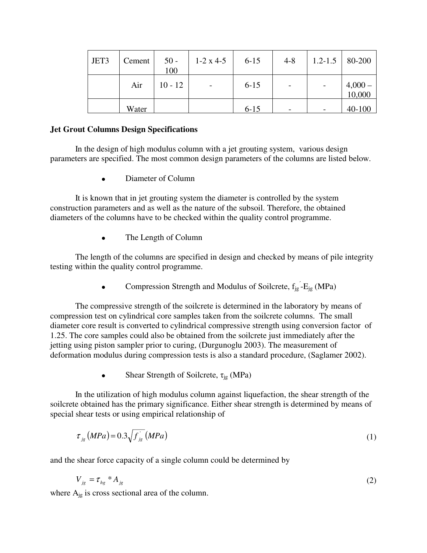| JET3 | Cement | $50 -$<br>100 | $1-2 \times 4-5$ | $6 - 15$ | $4 - 8$                      | $1.2 - 1.5$ 80-200 |                |
|------|--------|---------------|------------------|----------|------------------------------|--------------------|----------------|
|      | Air    | $10 - 12$     |                  | $6 - 15$ | $\qquad \qquad \blacksquare$ |                    | $4,000-10,000$ |
|      | Water  |               |                  | $6 - 15$ |                              |                    | $40-100$       |

## **Jet Grout Columns Design Specifications**

 In the design of high modulus column with a jet grouting system, various design parameters are specified. The most common design parameters of the columns are listed below.

• Diameter of Column

 It is known that in jet grouting system the diameter is controlled by the system construction parameters and as well as the nature of the subsoil. Therefore, the obtained diameters of the columns have to be checked within the quality control programme.

• The Length of Column

 The length of the columns are specified in design and checked by means of pile integrity testing within the quality control programme.

• Compression Strength and Modulus of Soilcrete,  $f_{jg} - E_{jg}$  (MPa)

 The compressive strength of the soilcrete is determined in the laboratory by means of compression test on cylindrical core samples taken from the soilcrete columns. The small diameter core result is converted to cylindrical compressive strength using conversion factor of 1.25. The core samples could also be obtained from the soilcrete just immediately after the jetting using piston sampler prior to curing, (Durgunoglu 2003). The measurement of deformation modulus during compression tests is also a standard procedure, (Saglamer 2002).

• Shear Strength of Soilcrete,  $\tau_{\rm ig}$  (MPa)

 In the utilization of high modulus column against liquefaction, the shear strength of the soilcrete obtained has the primary significance. Either shear strength is determined by means of special shear tests or using empirical relationship of

$$
\tau_{j_g}(MPa) = 0.3\sqrt{f_{j_g}}(MPa)
$$
\n(1)

and the shear force capacity of a single column could be determined by

$$
V_{jg} = \tau_{hg} * A_{jg} \tag{2}
$$

where  $A_{jg}$  is cross sectional area of the column.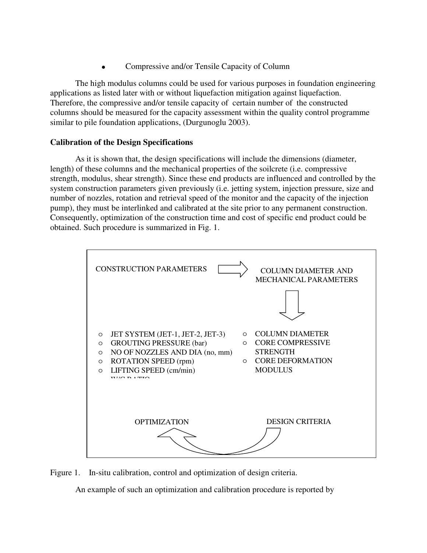• Compressive and/or Tensile Capacity of Column

 The high modulus columns could be used for various purposes in foundation engineering applications as listed later with or without liquefaction mitigation against liquefaction. Therefore, the compressive and/or tensile capacity of certain number of the constructed columns should be measured for the capacity assessment within the quality control programme similar to pile foundation applications, (Durgunoglu 2003).

## **Calibration of the Design Specifications**

 As it is shown that, the design specifications will include the dimensions (diameter, length) of these columns and the mechanical properties of the soilcrete (i.e. compressive strength, modulus, shear strength). Since these end products are influenced and controlled by the system construction parameters given previously (i.e. jetting system, injection pressure, size and number of nozzles, rotation and retrieval speed of the monitor and the capacity of the injection pump), they must be interlinked and calibrated at the site prior to any permanent construction. Consequently, optimization of the construction time and cost of specific end product could be obtained. Such procedure is summarized in Fig. 1.



Figure 1. In-situ calibration, control and optimization of design criteria.

An example of such an optimization and calibration procedure is reported by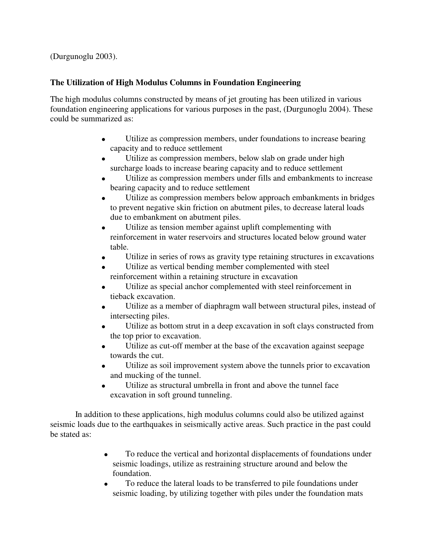(Durgunoglu 2003).

# **The Utilization of High Modulus Columns in Foundation Engineering**

The high modulus columns constructed by means of jet grouting has been utilized in various foundation engineering applications for various purposes in the past, (Durgunoglu 2004). These could be summarized as:

- Utilize as compression members, under foundations to increase bearing capacity and to reduce settlement
- Utilize as compression members, below slab on grade under high surcharge loads to increase bearing capacity and to reduce settlement
- Utilize as compression members under fills and embankments to increase bearing capacity and to reduce settlement
- Utilize as compression members below approach embankments in bridges to prevent negative skin friction on abutment piles, to decrease lateral loads due to embankment on abutment piles.
- Utilize as tension member against uplift complementing with reinforcement in water reservoirs and structures located below ground water table.
- Utilize in series of rows as gravity type retaining structures in excavations
- Utilize as vertical bending member complemented with steel reinforcement within a retaining structure in excavation
- Utilize as special anchor complemented with steel reinforcement in tieback excavation.
- Utilize as a member of diaphragm wall between structural piles, instead of intersecting piles.
- Utilize as bottom strut in a deep excavation in soft clays constructed from the top prior to excavation.
- Utilize as cut-off member at the base of the excavation against seepage towards the cut.
- Utilize as soil improvement system above the tunnels prior to excavation and mucking of the tunnel.
- Utilize as structural umbrella in front and above the tunnel face excavation in soft ground tunneling.

 In addition to these applications, high modulus columns could also be utilized against seismic loads due to the earthquakes in seismically active areas. Such practice in the past could be stated as:

- To reduce the vertical and horizontal displacements of foundations under seismic loadings, utilize as restraining structure around and below the foundation.
- To reduce the lateral loads to be transferred to pile foundations under seismic loading, by utilizing together with piles under the foundation mats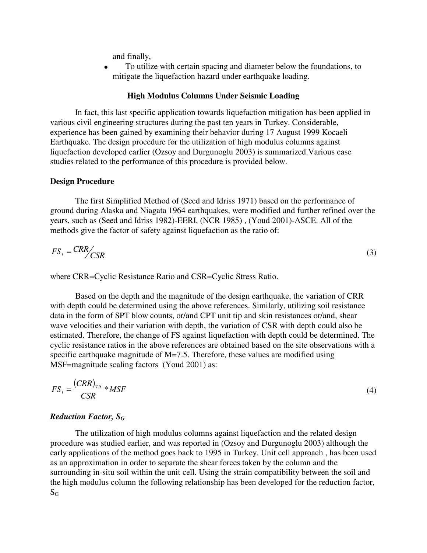and finally,

• To utilize with certain spacing and diameter below the foundations, to mitigate the liquefaction hazard under earthquake loading.

#### **High Modulus Columns Under Seismic Loading**

 In fact, this last specific application towards liquefaction mitigation has been applied in various civil engineering structures during the past ten years in Turkey. Considerable, experience has been gained by examining their behavior during 17 August 1999 Kocaeli Earthquake. The design procedure for the utilization of high modulus columns against liquefaction developed earlier (Ozsoy and Durgunoglu 2003) is summarized.Various case studies related to the performance of this procedure is provided below.

#### **Design Procedure**

 The first Simplified Method of (Seed and Idriss 1971) based on the performance of ground during Alaska and Niagata 1964 earthquakes, were modified and further refined over the years, such as (Seed and Idriss 1982)-EERI, (NCR 1985) , (Youd 2001)-ASCE. All of the methods give the factor of safety against liquefaction as the ratio of:

$$
FS_{l} = \frac{CRR}{CSR}
$$
 (3)

where CRR=Cyclic Resistance Ratio and CSR=Cyclic Stress Ratio.

 Based on the depth and the magnitude of the design earthquake, the variation of CRR with depth could be determined using the above references. Similarly, utilizing soil resistance data in the form of SPT blow counts, or/and CPT unit tip and skin resistances or/and, shear wave velocities and their variation with depth, the variation of CSR with depth could also be estimated. Therefore, the change of FS against liquefaction with depth could be determined. The cyclic resistance ratios in the above references are obtained based on the site observations with a specific earthquake magnitude of M=7.5. Therefore, these values are modified using MSF=magnitude scaling factors (Youd 2001) as:

$$
FS_{l} = \frac{(CRR)_{7.5}}{CSR} * MSF
$$
 (4)

### *Reduction Factor, SG*

 The utilization of high modulus columns against liquefaction and the related design procedure was studied earlier, and was reported in (Ozsoy and Durgunoglu 2003) although the early applications of the method goes back to 1995 in Turkey. Unit cell approach , has been used as an approximation in order to separate the shear forces taken by the column and the surrounding in-situ soil within the unit cell. Using the strain compatibility between the soil and the high modulus column the following relationship has been developed for the reduction factor,  $S_G$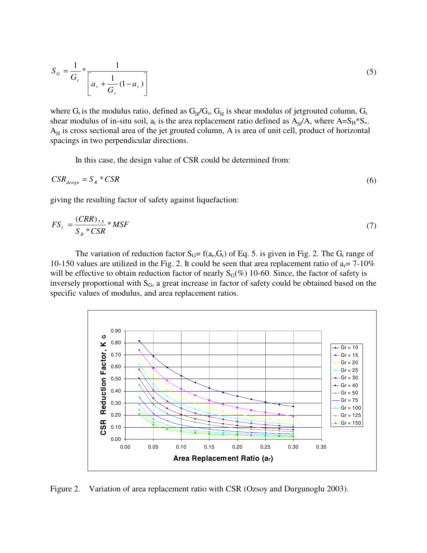$$
S_G = \frac{1}{G_r} * \frac{1}{\left[a_r + \frac{1}{G_r}(1 - a_r)\right]}
$$
(5)

where  $G_r$  is the modulus ratio, defined as  $G_{ig}/G_s$ ,  $G_{ig}$  is shear modulus of jetgrouted column,  $G_s$ shear modulus of in-situ soil,  $a_r$  is the area replacement ratio defined as  $A_{ig}/A$ , where  $A=S_H*S_v$ . A<sub>ig</sub> is cross sectional area of the jet grouted column, A is area of unit cell, product of horizontal spacings in two perpendicular directions.

In this case, the design value of CSR could be determined from:

$$
CSR_{design} = S_R *CSR
$$
 (6)

giving the resulting factor of safety against liquefaction:

$$
FS_t = \frac{(CRR)_{7.5}}{S_R * CSR} * MSF \tag{7}
$$

The variation of reduction factor  $S_G = f(a_r, G_r)$  of Eq. 5. is given in Fig. 2. The  $G_r$  range of 10-150 values are utilized in the Fig. 2. It could be seen that area replacement ratio of  $a_r = 7-10\%$ will be effective to obtain reduction factor of nearly  $S_G(\%)$  10-60. Since, the factor of safety is inversely proportional with  $S_G$ , a great increase in factor of safety could be obtained based on the specific values of modulus, and area replacement ratios.



Figure 2. Variation of area replacement ratio with CSR (Ozsoy and Durgunoglu 2003).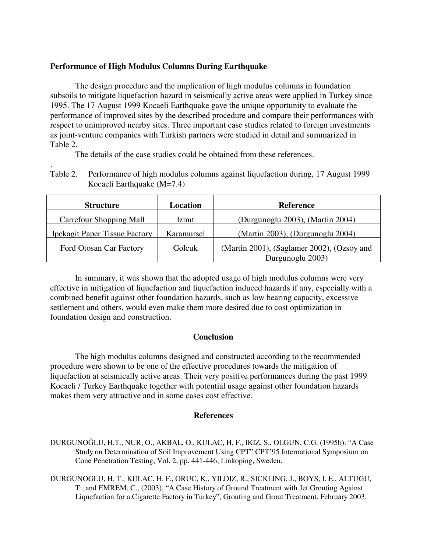## **Performance of High Modulus Columns During Earthquake**

.

 The design procedure and the implication of high modulus columns in foundation subsoils to mitigate liquefaction hazard in seismically active areas were applied in Turkey since 1995. The 17 August 1999 Kocaeli Earthquake gave the unique opportunity to evaluate the performance of improved sites by the described procedure and compare their performances with respect to unimproved nearby sites. Three important case studies related to foreign investments as joint-venture companies with Turkish partners were studied in detail and summarized in Table 2.

The details of the case studies could be obtained from these references.

Table 2. Performance of high modulus columns against liquefaction during, 17 August 1999 Kocaeli Earthquake (M=7.4)

| <b>Structure</b>                     | Location     | <b>Reference</b>                           |  |  |
|--------------------------------------|--------------|--------------------------------------------|--|--|
| <b>Carrefour Shopping Mall</b>       | <i>lzmit</i> | (Durgunoglu 2003), (Martin 2004)           |  |  |
| <b>Ipekagit Paper Tissue Factory</b> | Karamursel   | (Martin 2003), (Durgunoglu 2004)           |  |  |
| Ford Otosan Car Factory              | Golcuk       | (Martin 2001), (Saglamer 2002), (Ozsoy and |  |  |
|                                      |              | Durgunoglu 2003)                           |  |  |

 In summary, it was shown that the adopted usage of high modulus columns were very effective in mitigation of liquefaction and liquefaction induced hazards if any, especially with a combined benefit against other foundation hazards, such as low bearing capacity, excessive settlement and others, would even make them more desired due to cost optimization in foundation design and construction.

## **Conclusion**

 The high modulus columns designed and constructed according to the recommended procedure were shown to be one of the effective procedures towards the mitigation of liquefaction at seismically active areas. Their very positive performances during the past 1999 Kocaeli / Turkey Earthquake together with potential usage against other foundation hazards makes them very attractive and in some cases cost effective.

# **References**

- DURGUNOĞLU, H.T., NUR, O., AKBAL, O., KULAC, H. F., IKIZ, S., OLGUN, C.G. (1995b). "A Case Study on Determination of Soil Improvement Using CPT" CPT'95 International Symposium on Cone Penetration Testing, Vol. 2, pp. 441-446, Linkoping, Sweden.
- DURGUNOGLU, H. T., KULAC, H. F., ORUC, K., YILDIZ, R., SICKLING, J., BOYS, I. E., ALTUGU, T:, and EMREM, C., (2003), "A Case History of Ground Treatment with Jet Grouting Against Liquefaction for a Cigarette Factory in Turkey", Grouting and Grout Treatment, February 2003,